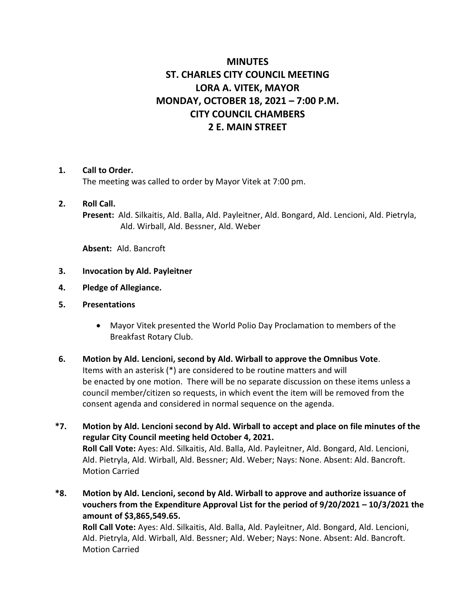# **MINUTES ST. CHARLES CITY COUNCIL MEETING LORA A. VITEK, MAYOR MONDAY, OCTOBER 18, 2021 – 7:00 P.M. CITY COUNCIL CHAMBERS 2 E. MAIN STREET**

#### **1. Call to Order.**

The meeting was called to order by Mayor Vitek at 7:00 pm.

#### **2. Roll Call.**

**Present:** Ald. Silkaitis, Ald. Balla, Ald. Payleitner, Ald. Bongard, Ald. Lencioni, Ald. Pietryla, Ald. Wirball, Ald. Bessner, Ald. Weber

**Absent:** Ald. Bancroft

- **3. Invocation by Ald. Payleitner**
- **4. Pledge of Allegiance.**
- **5. Presentations**
	- Mayor Vitek presented the World Polio Day Proclamation to members of the Breakfast Rotary Club.
- **6. Motion by Ald. Lencioni, second by Ald. Wirball to approve the Omnibus Vote**. Items with an asterisk (\*) are considered to be routine matters and will be enacted by one motion. There will be no separate discussion on these items unless a council member/citizen so requests, in which event the item will be removed from the consent agenda and considered in normal sequence on the agenda.
- **\*7. Motion by Ald. Lencioni second by Ald. Wirball to accept and place on file minutes of the regular City Council meeting held October 4, 2021. Roll Call Vote:** Ayes: Ald. Silkaitis, Ald. Balla, Ald. Payleitner, Ald. Bongard, Ald. Lencioni, Ald. Pietryla, Ald. Wirball, Ald. Bessner; Ald. Weber; Nays: None. Absent: Ald. Bancroft. Motion Carried
- **\*8. Motion by Ald. Lencioni, second by Ald. Wirball to approve and authorize issuance of vouchers from the Expenditure Approval List for the period of 9/20/2021 – 10/3/2021 the amount of \$3,865,549.65. Roll Call Vote:** Ayes: Ald. Silkaitis, Ald. Balla, Ald. Payleitner, Ald. Bongard, Ald. Lencioni, Ald. Pietryla, Ald. Wirball, Ald. Bessner; Ald. Weber; Nays: None. Absent: Ald. Bancroft.

Motion Carried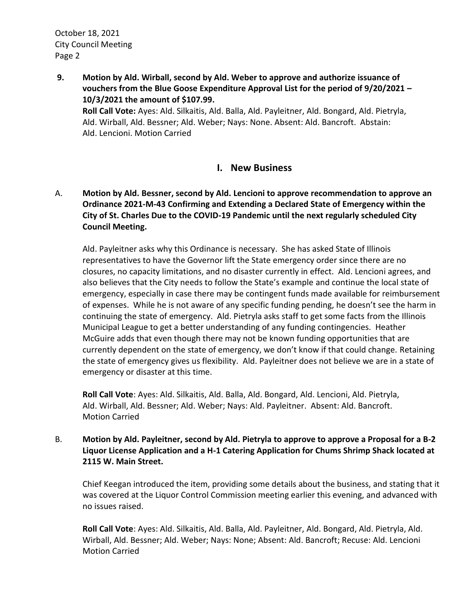October 18, 2021 City Council Meeting Page 2

**9. Motion by Ald. Wirball, second by Ald. Weber to approve and authorize issuance of vouchers from the Blue Goose Expenditure Approval List for the period of 9/20/2021 – 10/3/2021 the amount of \$107.99. Roll Call Vote:** Ayes: Ald. Silkaitis, Ald. Balla, Ald. Payleitner, Ald. Bongard, Ald. Pietryla, Ald. Wirball, Ald. Bessner; Ald. Weber; Nays: None. Absent: Ald. Bancroft. Abstain: Ald. Lencioni. Motion Carried

## **I. New Business**

A. **Motion by Ald. Bessner, second by Ald. Lencioni to approve recommendation to approve an Ordinance 2021-M-43 Confirming and Extending a Declared State of Emergency within the City of St. Charles Due to the COVID-19 Pandemic until the next regularly scheduled City Council Meeting.**

Ald. Payleitner asks why this Ordinance is necessary. She has asked State of Illinois representatives to have the Governor lift the State emergency order since there are no closures, no capacity limitations, and no disaster currently in effect. Ald. Lencioni agrees, and also believes that the City needs to follow the State's example and continue the local state of emergency, especially in case there may be contingent funds made available for reimbursement of expenses. While he is not aware of any specific funding pending, he doesn't see the harm in continuing the state of emergency. Ald. Pietryla asks staff to get some facts from the Illinois Municipal League to get a better understanding of any funding contingencies. Heather McGuire adds that even though there may not be known funding opportunities that are currently dependent on the state of emergency, we don't know if that could change. Retaining the state of emergency gives us flexibility. Ald. Payleitner does not believe we are in a state of emergency or disaster at this time.

**Roll Call Vote**: Ayes: Ald. Silkaitis, Ald. Balla, Ald. Bongard, Ald. Lencioni, Ald. Pietryla, Ald. Wirball, Ald. Bessner; Ald. Weber; Nays: Ald. Payleitner. Absent: Ald. Bancroft. Motion Carried

B. **Motion by Ald. Payleitner, second by Ald. Pietryla to approve to approve a Proposal for a B-2 Liquor License Application and a H-1 Catering Application for Chums Shrimp Shack located at 2115 W. Main Street.**

Chief Keegan introduced the item, providing some details about the business, and stating that it was covered at the Liquor Control Commission meeting earlier this evening, and advanced with no issues raised.

**Roll Call Vote**: Ayes: Ald. Silkaitis, Ald. Balla, Ald. Payleitner, Ald. Bongard, Ald. Pietryla, Ald. Wirball, Ald. Bessner; Ald. Weber; Nays: None; Absent: Ald. Bancroft; Recuse: Ald. Lencioni Motion Carried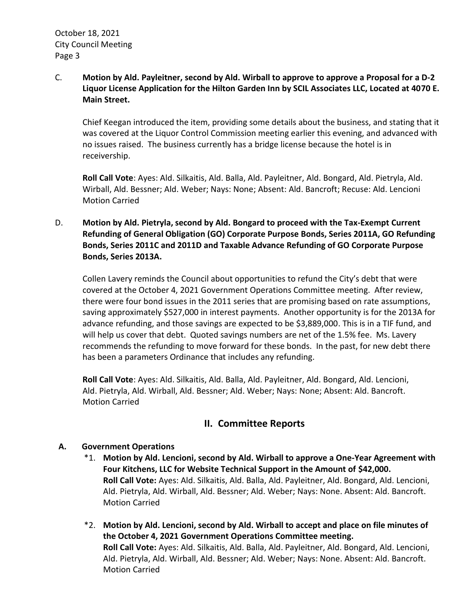#### C. **Motion by Ald. Payleitner, second by Ald. Wirball to approve to approve a Proposal for a D-2 Liquor License Application for the Hilton Garden Inn by SCIL Associates LLC, Located at 4070 E. Main Street.**

Chief Keegan introduced the item, providing some details about the business, and stating that it was covered at the Liquor Control Commission meeting earlier this evening, and advanced with no issues raised. The business currently has a bridge license because the hotel is in receivership.

**Roll Call Vote**: Ayes: Ald. Silkaitis, Ald. Balla, Ald. Payleitner, Ald. Bongard, Ald. Pietryla, Ald. Wirball, Ald. Bessner; Ald. Weber; Nays: None; Absent: Ald. Bancroft; Recuse: Ald. Lencioni Motion Carried

## D. **Motion by Ald. Pietryla, second by Ald. Bongard to proceed with the Tax-Exempt Current Refunding of General Obligation (GO) Corporate Purpose Bonds, Series 2011A, GO Refunding Bonds, Series 2011C and 2011D and Taxable Advance Refunding of GO Corporate Purpose Bonds, Series 2013A.**

Collen Lavery reminds the Council about opportunities to refund the City's debt that were covered at the October 4, 2021 Government Operations Committee meeting. After review, there were four bond issues in the 2011 series that are promising based on rate assumptions, saving approximately \$527,000 in interest payments. Another opportunity is for the 2013A for advance refunding, and those savings are expected to be \$3,889,000. This is in a TIF fund, and will help us cover that debt. Quoted savings numbers are net of the 1.5% fee. Ms. Lavery recommends the refunding to move forward for these bonds. In the past, for new debt there has been a parameters Ordinance that includes any refunding.

**Roll Call Vote**: Ayes: Ald. Silkaitis, Ald. Balla, Ald. Payleitner, Ald. Bongard, Ald. Lencioni, Ald. Pietryla, Ald. Wirball, Ald. Bessner; Ald. Weber; Nays: None; Absent: Ald. Bancroft. Motion Carried

# **II. Committee Reports**

#### **A. Government Operations**

- \*1. **Motion by Ald. Lencioni, second by Ald. Wirball to approve a One-Year Agreement with Four Kitchens, LLC for Website Technical Support in the Amount of \$42,000. Roll Call Vote:** Ayes: Ald. Silkaitis, Ald. Balla, Ald. Payleitner, Ald. Bongard, Ald. Lencioni, Ald. Pietryla, Ald. Wirball, Ald. Bessner; Ald. Weber; Nays: None. Absent: Ald. Bancroft. Motion Carried
- \*2. **Motion by Ald. Lencioni, second by Ald. Wirball to accept and place on file minutes of the October 4, 2021 Government Operations Committee meeting. Roll Call Vote:** Ayes: Ald. Silkaitis, Ald. Balla, Ald. Payleitner, Ald. Bongard, Ald. Lencioni, Ald. Pietryla, Ald. Wirball, Ald. Bessner; Ald. Weber; Nays: None. Absent: Ald. Bancroft. Motion Carried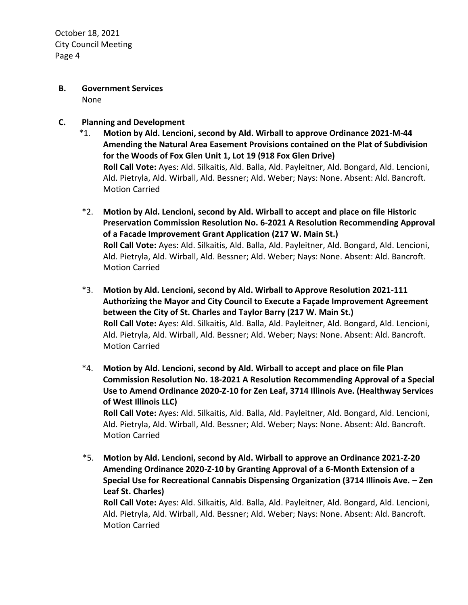October 18, 2021 City Council Meeting Page 4

- **B. Government Services** None
- **C. Planning and Development**
	- \*1. **Motion by Ald. Lencioni, second by Ald. Wirball to approve Ordinance 2021-M-44 Amending the Natural Area Easement Provisions contained on the Plat of Subdivision for the Woods of Fox Glen Unit 1, Lot 19 (918 Fox Glen Drive) Roll Call Vote:** Ayes: Ald. Silkaitis, Ald. Balla, Ald. Payleitner, Ald. Bongard, Ald. Lencioni, Ald. Pietryla, Ald. Wirball, Ald. Bessner; Ald. Weber; Nays: None. Absent: Ald. Bancroft. Motion Carried
	- \*2. **Motion by Ald. Lencioni, second by Ald. Wirball to accept and place on file Historic Preservation Commission Resolution No. 6-2021 A Resolution Recommending Approval of a Facade Improvement Grant Application (217 W. Main St.) Roll Call Vote:** Ayes: Ald. Silkaitis, Ald. Balla, Ald. Payleitner, Ald. Bongard, Ald. Lencioni, Ald. Pietryla, Ald. Wirball, Ald. Bessner; Ald. Weber; Nays: None. Absent: Ald. Bancroft. Motion Carried
	- \*3. **Motion by Ald. Lencioni, second by Ald. Wirball to Approve Resolution 2021-111 Authorizing the Mayor and City Council to Execute a Façade Improvement Agreement between the City of St. Charles and Taylor Barry (217 W. Main St.) Roll Call Vote:** Ayes: Ald. Silkaitis, Ald. Balla, Ald. Payleitner, Ald. Bongard, Ald. Lencioni, Ald. Pietryla, Ald. Wirball, Ald. Bessner; Ald. Weber; Nays: None. Absent: Ald. Bancroft. Motion Carried
	- \*4. **Motion by Ald. Lencioni, second by Ald. Wirball to accept and place on file Plan Commission Resolution No. 18-2021 A Resolution Recommending Approval of a Special Use to Amend Ordinance 2020-Z-10 for Zen Leaf, 3714 Illinois Ave. (Healthway Services of West Illinois LLC) Roll Call Vote:** Ayes: Ald. Silkaitis, Ald. Balla, Ald. Payleitner, Ald. Bongard, Ald. Lencioni,

Ald. Pietryla, Ald. Wirball, Ald. Bessner; Ald. Weber; Nays: None. Absent: Ald. Bancroft. Motion Carried

\*5. **Motion by Ald. Lencioni, second by Ald. Wirball to approve an Ordinance 2021-Z-20 Amending Ordinance 2020-Z-10 by Granting Approval of a 6-Month Extension of a Special Use for Recreational Cannabis Dispensing Organization (3714 Illinois Ave. – Zen Leaf St. Charles) Roll Call Vote:** Ayes: Ald. Silkaitis, Ald. Balla, Ald. Payleitner, Ald. Bongard, Ald. Lencioni, Ald. Pietryla, Ald. Wirball, Ald. Bessner; Ald. Weber; Nays: None. Absent: Ald. Bancroft.

Motion Carried